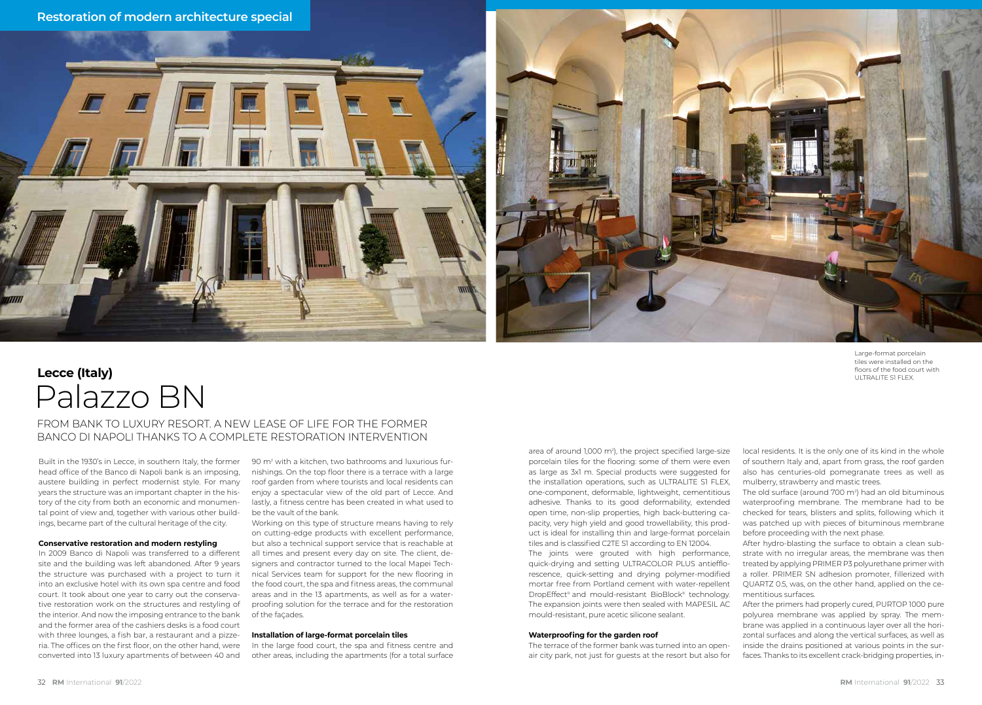



Large-format porcelain tiles were installed on the floors of the food court with ULTRALITE S1 FLEX.

## Palazzo BN **Lecce (Italy)**

### FROM BANK TO LUXURY RESORT. A NEW LEASE OF LIFE FOR THE FORMER BANCO DI NAPOLI THANKS TO A COMPLETE RESTORATION INTERVENTION

Built in the 1930's in Lecce, in southern Italy, the former head office of the Banco di Napoli bank is an imposing, austere building in perfect modernist style. For many years the structure was an important chapter in the history of the city from both an economic and monumental point of view and, together with various other buildings, became part of the cultural heritage of the city.

#### **Conservative restoration and modern restyling**

In 2009 Banco di Napoli was transferred to a different site and the building was left abandoned. After 9 years the structure was purchased with a project to turn it into an exclusive hotel with its own spa centre and food court. It took about one year to carry out the conservative restoration work on the structures and restyling of the interior. And now the imposing entrance to the bank and the former area of the cashiers desks is a food court with three lounges, a fish bar, a restaurant and a pizzeria. The offices on the first floor, on the other hand, were converted into 13 luxury apartments of between 40 and

90 m2 with a kitchen, two bathrooms and luxurious furnishings. On the top floor there is a terrace with a large roof garden from where tourists and local residents can enjoy a spectacular view of the old part of Lecce. And lastly, a fitness centre has been created in what used to be the vault of the bank.

Working on this type of structure means having to rely on cutting-edge products with excellent performance, but also a technical support service that is reachable at all times and present every day on site. The client, designers and contractor turned to the local Mapei Technical Services team for support for the new flooring in the food court, the spa and fitness areas, the communal areas and in the 13 apartments, as well as for a waterproofing solution for the terrace and for the restoration of the faÇades.

#### **Installation of large-format porcelain tiles**

In the large food court, the spa and fitness centre and other areas, including the apartments (for a total surface

area of around 1,000 m2 ), the project specified large-size porcelain tiles for the flooring: some of them were even as large as 3x1 m. Special products were suggested for the installation operations, such as ULTRALITE S1 FLEX, one-component, deformable, lightweight, cementitious adhesive. Thanks to its good deformability, extended open time, non-slip properties, high back-buttering capacity, very high yield and good trowellability, this product is ideal for installing thin and large-format porcelain tiles and is classified C2TE S1 according to EN 12004.

The joints were grouted with high performance, quick-drying and setting ULTRACOLOR PLUS antiefflorescence, quick-setting and drying polymer-modified mortar free from Portland cement with water-repellent DropEffect® and mould-resistant BioBlock® technology. The expansion joints were then sealed with MAPESIL AC mould-resistant, pure acetic silicone sealant.

#### **Waterproofing for the garden roof**

The terrace of the former bank was turned into an openair city park, not just for guests at the resort but also for

local residents. It is the only one of its kind in the whole of southern Italy and, apart from grass, the roof garden also has centuries-old pomegranate trees as well as mulberry, strawberry and mastic trees.

The old surface (around 700 m2 ) had an old bituminous waterproofing membrane. The membrane had to be checked for tears, blisters and splits, following which it was patched up with pieces of bituminous membrane before proceeding with the next phase.

After hydro-blasting the surface to obtain a clean substrate with no irregular areas, the membrane was then treated by applying PRIMER P3 polyurethane primer with a roller. PRIMER SN adhesion promoter, fillerized with QUARTZ 0.5, was, on the other hand, applied on the cementitious surfaces.

After the primers had properly cured, PURTOP 1000 pure polyurea membrane was applied by spray. The membrane was applied in a continuous layer over all the horizontal surfaces and along the vertical surfaces, as well as inside the drains positioned at various points in the surfaces. Thanks to its excellent crack-bridging properties, in-